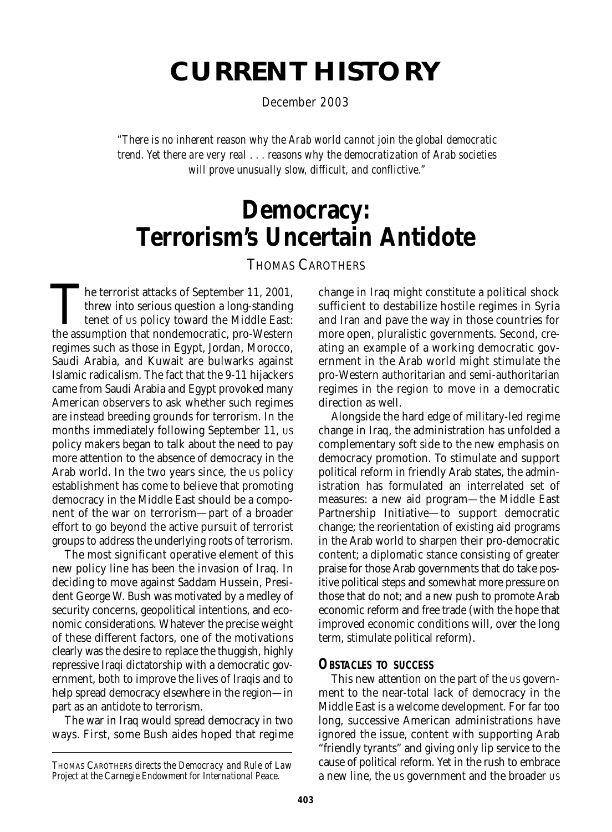# **CURRENT HISTORY**

December 2003

*"There is no inherent reason why the Arab world cannot join the global democratic trend. Yet there are very real . . . reasons why the democratization of Arab societies will prove unusually slow, difficult, and conflictive."*

# **Democracy: Terrorism's Uncertain Antidote**

THOMAS CAROTHERS

The terrorist attacks of September 11, 2001,<br>threw into serious question a long-standing<br>tenet of US policy toward the Middle East:<br>the assumption that nondemocratic, pro-Western threw into serious question a long-standing tenet of US policy toward the Middle East: regimes such as those in Egypt, Jordan, Morocco, Saudi Arabia, and Kuwait are bulwarks against Islamic radicalism. The fact that the 9-11 hijackers came from Saudi Arabia and Egypt provoked many American observers to ask whether such regimes are instead breeding grounds for terrorism. In the months immediately following September 11, US policy makers began to talk about the need to pay more attention to the absence of democracy in the Arab world. In the two years since, the US policy establishment has come to believe that promoting democracy in the Middle East should be a component of the war on terrorism—part of a broader effort to go beyond the active pursuit of terrorist groups to address the underlying roots of terrorism.

The most significant operative element of this new policy line has been the invasion of Iraq. In deciding to move against Saddam Hussein, President George W. Bush was motivated by a medley of security concerns, geopolitical intentions, and economic considerations. Whatever the precise weight of these different factors, one of the motivations clearly was the desire to replace the thuggish, highly repressive Iraqi dictatorship with a democratic government, both to improve the lives of Iraqis and to help spread democracy elsewhere in the region—in part as an antidote to terrorism.

The war in Iraq would spread democracy in two ways. First, some Bush aides hoped that regime change in Iraq might constitute a political shock sufficient to destabilize hostile regimes in Syria and Iran and pave the way in those countries for more open, pluralistic governments. Second, creating an example of a working democratic government in the Arab world might stimulate the pro-Western authoritarian and semi-authoritarian regimes in the region to move in a democratic direction as well.

Alongside the hard edge of military-led regime change in Iraq, the administration has unfolded a complementary soft side to the new emphasis on democracy promotion. To stimulate and support political reform in friendly Arab states, the administration has formulated an interrelated set of measures: a new aid program—the Middle East Partnership Initiative—to support democratic change; the reorientation of existing aid programs in the Arab world to sharpen their pro-democratic content; a diplomatic stance consisting of greater praise for those Arab governments that do take positive political steps and somewhat more pressure on those that do not; and a new push to promote Arab economic reform and free trade (with the hope that improved economic conditions will, over the long term, stimulate political reform).

## **OBSTACLES TO SUCCESS**

This new attention on the part of the US government to the near-total lack of democracy in the Middle East is a welcome development. For far too long, successive American administrations have ignored the issue, content with supporting Arab "friendly tyrants" and giving only lip service to the cause of political reform. Yet in the rush to embrace a new line, the US government and the broader US

THOMAS CAROTHERS *directs the Democracy and Rule of Law Project at the Carnegie Endowment for International Peace.*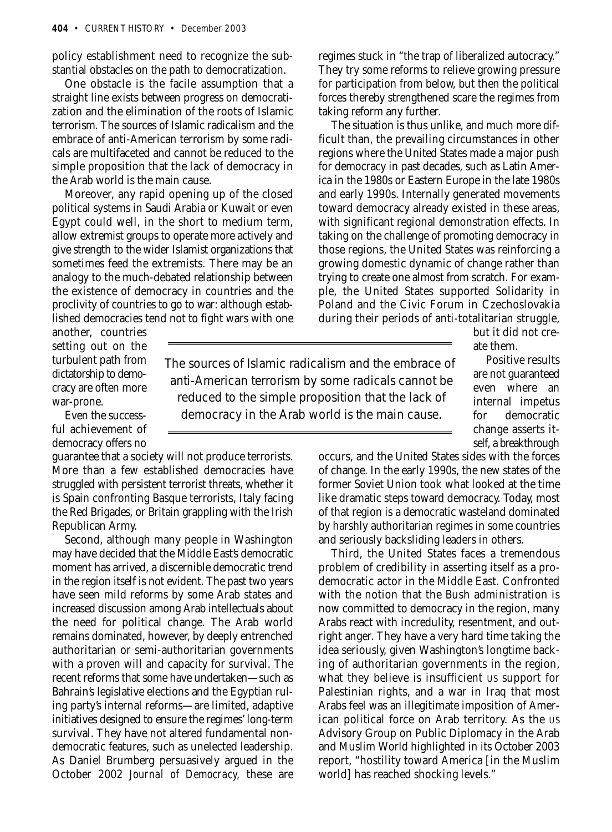policy establishment need to recognize the substantial obstacles on the path to democratization.

One obstacle is the facile assumption that a straight line exists between progress on democratization and the elimination of the roots of Islamic terrorism. The sources of Islamic radicalism and the embrace of anti-American terrorism by some radicals are multifaceted and cannot be reduced to the simple proposition that the lack of democracy in the Arab world is the main cause.

Moreover, any rapid opening up of the closed political systems in Saudi Arabia or Kuwait or even Egypt could well, in the short to medium term, allow extremist groups to operate more actively and give strength to the wider Islamist organizations that sometimes feed the extremists. There may be an analogy to the much-debated relationship between the existence of democracy in countries and the proclivity of countries to go to war: although established democracies tend not to fight wars with one regimes stuck in "the trap of liberalized autocracy." They try some reforms to relieve growing pressure for participation from below, but then the political forces thereby strengthened scare the regimes from taking reform any further.

The situation is thus unlike, and much more difficult than, the prevailing circumstances in other regions where the United States made a major push for democracy in past decades, such as Latin America in the 1980s or Eastern Europe in the late 1980s and early 1990s. Internally generated movements toward democracy already existed in these areas, with significant regional demonstration effects. In taking on the challenge of promoting democracy in those regions, the United States was reinforcing a growing domestic dynamic of change rather than trying to create one almost from scratch. For example, the United States supported Solidarity in Poland and the Civic Forum in Czechoslovakia during their periods of anti-totalitarian struggle,

another, countries setting out on the turbulent path from dictatorship to democracy are often more war-prone.

Even the successful achievement of democracy offers no

guarantee that a society will not produce terrorists. More than a few established democracies have struggled with persistent terrorist threats, whether it is Spain confronting Basque terrorists, Italy facing the Red Brigades, or Britain grappling with the Irish Republican Army.

Second, although many people in Washington may have decided that the Middle East's democratic moment has arrived, a discernible democratic trend in the region itself is not evident. The past two years have seen mild reforms by some Arab states and increased discussion among Arab intellectuals about the need for political change. The Arab world remains dominated, however, by deeply entrenched authoritarian or semi-authoritarian governments with a proven will and capacity for survival. The recent reforms that some have undertaken—such as Bahrain's legislative elections and the Egyptian ruling party's internal reforms—are limited, adaptive initiatives designed to ensure the regimes' long-term survival. They have not altered fundamental nondemocratic features, such as unelected leadership. As Daniel Brumberg persuasively argued in the October 2002 *Journal of Democracy,* these are

*The sources of Islamic radicalism and the embrace of anti-American terrorism by some radicals cannot be reduced to the simple proposition that the lack of democracy in the Arab world is the main cause.*

but it did not create them.

Positive results are not guaranteed even where an internal impetus for democratic change asserts itself, a breakthrough

occurs, and the United States sides with the forces of change. In the early 1990s, the new states of the former Soviet Union took what looked at the time like dramatic steps toward democracy. Today, most of that region is a democratic wasteland dominated by harshly authoritarian regimes in some countries and seriously backsliding leaders in others.

Third, the United States faces a tremendous problem of credibility in asserting itself as a prodemocratic actor in the Middle East. Confronted with the notion that the Bush administration is now committed to democracy in the region, many Arabs react with incredulity, resentment, and outright anger. They have a very hard time taking the idea seriously, given Washington's longtime backing of authoritarian governments in the region, what they believe is insufficient US support for Palestinian rights, and a war in Iraq that most Arabs feel was an illegitimate imposition of American political force on Arab territory. As the US Advisory Group on Public Diplomacy in the Arab and Muslim World highlighted in its October 2003 report, "hostility toward America [in the Muslim world] has reached shocking levels."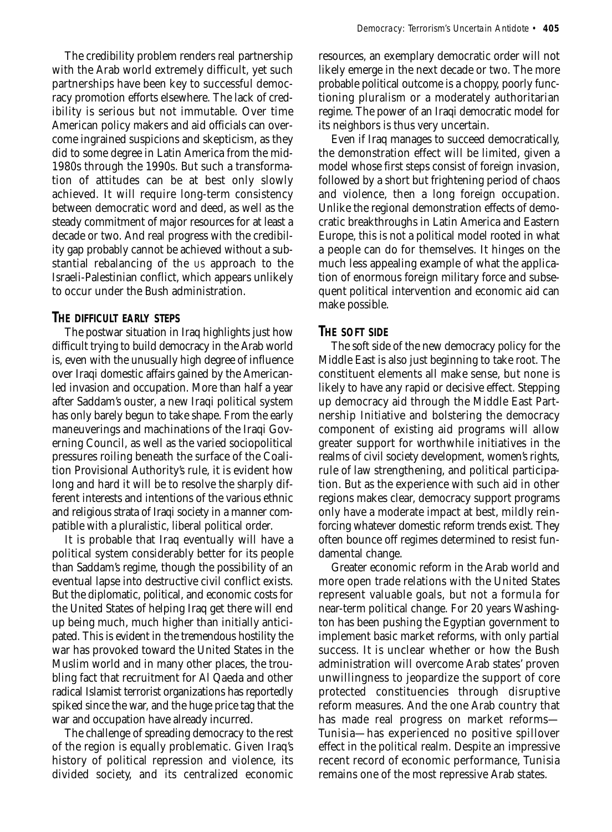The credibility problem renders real partnership with the Arab world extremely difficult, yet such partnerships have been key to successful democracy promotion efforts elsewhere. The lack of credibility is serious but not immutable. Over time American policy makers and aid officials can overcome ingrained suspicions and skepticism, as they did to some degree in Latin America from the mid-1980s through the 1990s. But such a transformation of attitudes can be at best only slowly achieved. It will require long-term consistency between democratic word and deed, as well as the steady commitment of major resources for at least a decade or two. And real progress with the credibility gap probably cannot be achieved without a substantial rebalancing of the US approach to the Israeli-Palestinian conflict, which appears unlikely to occur under the Bush administration.

#### **THE DIFFICULT EARLY STEPS**

The postwar situation in Iraq highlights just how difficult trying to build democracy in the Arab world is, even with the unusually high degree of influence over Iraqi domestic affairs gained by the Americanled invasion and occupation. More than half a year after Saddam's ouster, a new Iraqi political system has only barely begun to take shape. From the early maneuverings and machinations of the Iraqi Governing Council, as well as the varied sociopolitical pressures roiling beneath the surface of the Coalition Provisional Authority's rule, it is evident how long and hard it will be to resolve the sharply different interests and intentions of the various ethnic and religious strata of Iraqi society in a manner compatible with a pluralistic, liberal political order.

It is probable that Iraq eventually will have a political system considerably better for its people than Saddam's regime, though the possibility of an eventual lapse into destructive civil conflict exists. But the diplomatic, political, and economic costs for the United States of helping Iraq get there will end up being much, much higher than initially anticipated. This is evident in the tremendous hostility the war has provoked toward the United States in the Muslim world and in many other places, the troubling fact that recruitment for Al Qaeda and other radical Islamist terrorist organizations has reportedly spiked since the war, and the huge price tag that the war and occupation have already incurred.

The challenge of spreading democracy to the rest of the region is equally problematic. Given Iraq's history of political repression and violence, its divided society, and its centralized economic resources, an exemplary democratic order will not likely emerge in the next decade or two. The more probable political outcome is a choppy, poorly functioning pluralism or a moderately authoritarian regime. The power of an Iraqi democratic model for its neighbors is thus very uncertain.

Even if Iraq manages to succeed democratically, the demonstration effect will be limited, given a model whose first steps consist of foreign invasion, followed by a short but frightening period of chaos and violence, then a long foreign occupation. Unlike the regional demonstration effects of democratic breakthroughs in Latin America and Eastern Europe, this is not a political model rooted in what a people can do for themselves. It hinges on the much less appealing example of what the application of enormous foreign military force and subsequent political intervention and economic aid can make possible.

## **THE SOFT SIDE**

The soft side of the new democracy policy for the Middle East is also just beginning to take root. The constituent elements all make sense, but none is likely to have any rapid or decisive effect. Stepping up democracy aid through the Middle East Partnership Initiative and bolstering the democracy component of existing aid programs will allow greater support for worthwhile initiatives in the realms of civil society development, women's rights, rule of law strengthening, and political participation. But as the experience with such aid in other regions makes clear, democracy support programs only have a moderate impact at best, mildly reinforcing whatever domestic reform trends exist. They often bounce off regimes determined to resist fundamental change.

Greater economic reform in the Arab world and more open trade relations with the United States represent valuable goals, but not a formula for near-term political change. For 20 years Washington has been pushing the Egyptian government to implement basic market reforms, with only partial success. It is unclear whether or how the Bush administration will overcome Arab states' proven unwillingness to jeopardize the support of core protected constituencies through disruptive reform measures. And the one Arab country that has made real progress on market reforms— Tunisia—has experienced no positive spillover effect in the political realm. Despite an impressive recent record of economic performance, Tunisia remains one of the most repressive Arab states.